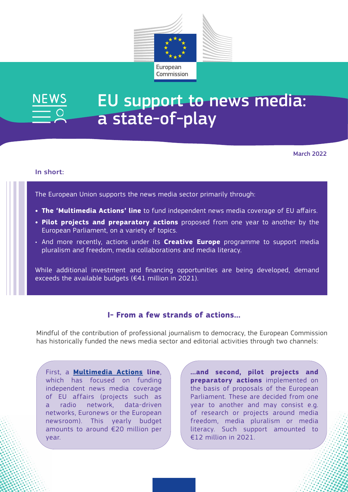

# EU support to news media: **JEWS** a state-of-play

March 2022

#### In short:

The European Union supports the news media sector primarily through:

- **• The 'Multimedia Actions' line** to fund independent news media coverage of EU affairs.
- **• Pilot projects and preparatory actions** proposed from one year to another by the European Parliament, on a variety of topics.
- And more recently, actions under its **Creative Europe** programme to support media pluralism and freedom, media collaborations and media literacy.

While additional investment and financing opportunities are being developed, demand exceeds the available budgets (€41 million in 2021).

### **I- From a few strands of actions…**

Mindful of the contribution of professional journalism to democracy, the European Commission has historically funded the news media sector and editorial activities through two channels:

First, a **[Multimedia Actions](https://digital-strategy.ec.europa.eu/en/policies/multimedia-actions) line**, which has focused on funding independent news media coverage of EU affairs (projects such as a radio network, data-driven networks, Euronews or the European newsroom). This yearly budget amounts to around €20 million per year.

**…and second, pilot projects and preparatory actions** implemented on the basis of proposals of the European Parliament. These are decided from one year to another and may consist e.g. of research or projects around media freedom, media pluralism or media literacy. Such support amounted to €12 million in 2021.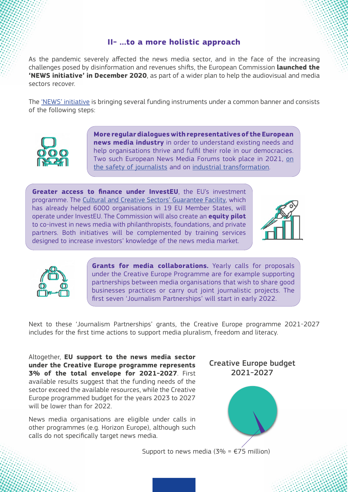### **II- …to a more holistic approach**

As the pandemic severely affected the news media sector, and in the face of the increasing challenges posed by disinformation and revenues shifts, the European Commission **launched the 'NEWS initiative' in December 2020**, as part of a wider plan to help the audiovisual and media sectors recover.

The ['NEWS' initiative](https://digital-strategy.ec.europa.eu/en/policies/news-initiative) is bringing several funding instruments under a common banner and consists of the following steps:



**More regular dialogues with representatives of the European news media industry** in order to understand existing needs and help organisations thrive and fulfil their role in our democracies. Two such European News Media Forums took place in 2021, [on](https://digital-strategy.ec.europa.eu/en/events/european-news-media-forum-safety-journalists) [the safety of journalists](https://digital-strategy.ec.europa.eu/en/events/european-news-media-forum-safety-journalists) and on [industrial transformation.](https://digital-strategy.ec.europa.eu/en/events/european-news-media-forum-safety-journalists)

**Greater access to finance under InvestEU**, the EU's investment programme. The [Cultural and Creative Sectors' Guarantee Facility,](https://digital-strategy.ec.europa.eu/en/policies/finance-cultural-creative-sectors) which has already helped 6000 organisations in 19 EU Member States, will operate under InvestEU. The Commission will also create an **equity pilot**  to co-invest in news media with philanthropists, foundations, and private partners. Both initiatives will be complemented by training services designed to increase investors' knowledge of the news media market.





**Grants for media collaborations.** Yearly calls for proposals under the Creative Europe Programme are for example supporting partnerships between media organisations that wish to share good businesses practices or carry out joint journalistic projects. The first seven 'Journalism Partnerships' will start in early 2022.

Next to these 'Journalism Partnerships' grants, the Creative Europe programme 2021-2027 includes for the first time actions to support media pluralism, freedom and literacy.

Altogether, **EU support to the news media sector under the Creative Europe programme represents 3% of the total envelope for 2021-2027**. First available results suggest that the funding needs of the sector exceed the available resources, while the Creative Europe programmed budget for the years 2023 to 2027 will be lower than for 2022.

News media organisations are eligible under calls in other programmes (e.g. Horizon Europe), although such calls do not specifically target news media.





Support to news media (3% =  $E$ 75 million)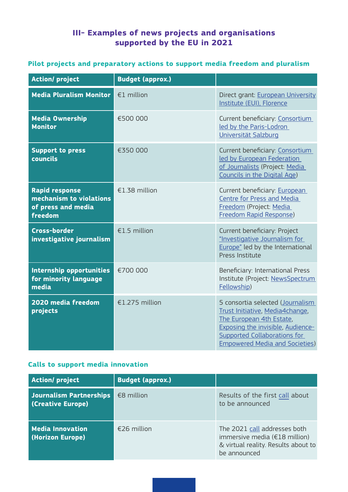## **III- Examples of news projects and organisations supported by the EU in 2021**

### **Pilot projects and preparatory actions to support media freedom and pluralism**

| <b>Action/project</b>                                                             | <b>Budget (approx.)</b> |                                                                                                                                                                                                                      |  |
|-----------------------------------------------------------------------------------|-------------------------|----------------------------------------------------------------------------------------------------------------------------------------------------------------------------------------------------------------------|--|
| <b>Media Pluralism Monitor</b>                                                    | €1 million              | Direct grant: European University<br>Institute (EUI), Florence                                                                                                                                                       |  |
| <b>Media Ownership</b><br><b>Monitor</b>                                          | €500 000                | Current beneficiary: Consortium<br>led by the Paris-Lodron<br>Universität Salzburg                                                                                                                                   |  |
| <b>Support to press</b><br>councils                                               | €350 000                | Current beneficiary: Consortium<br>led by European Federation<br>of Journalists (Project: Media<br>Councils in the Digital Age)                                                                                      |  |
| <b>Rapid response</b><br>mechanism to violations<br>of press and media<br>freedom | €1.38 million           | Current beneficiary: European<br>Centre for Press and Media<br>Freedom (Project: Media<br>Freedom Rapid Response)                                                                                                    |  |
| <b>Cross-border</b><br>investigative journalism                                   | €1.5 million            | Current beneficiary: Project<br>"Investigative Journalism for<br>Europe" led by the International<br>Press Institute                                                                                                 |  |
| <b>Internship opportunities</b><br>for minority language<br>media                 | €700 000                | Beneficiary: International Press<br>Institute (Project: NewsSpectrum<br>Fellowship)                                                                                                                                  |  |
| 2020 media freedom<br>projects                                                    | €1.275 million          | 5 consortia selected (Journalism<br>Trust Initiative, Media4change,<br>The European 4th Estate,<br><b>Exposing the invisible, Audience-</b><br>Supported Collaborations for<br><b>Empowered Media and Societies)</b> |  |

### **Calls to support media innovation**

| <b>Action/project</b>                        | <b>Budget (approx.)</b> |                                                                                                                      |
|----------------------------------------------|-------------------------|----------------------------------------------------------------------------------------------------------------------|
| Journalism Partnerships<br>(Creative Europe) | €8 million              | Results of the first call about<br>to be announced                                                                   |
| <b>Media Innovation</b><br>(Horizon Europe)  | €26 million             | The 2021 call addresses both<br>immersive media (€18 million)<br>& virtual reality. Results about to<br>be announced |